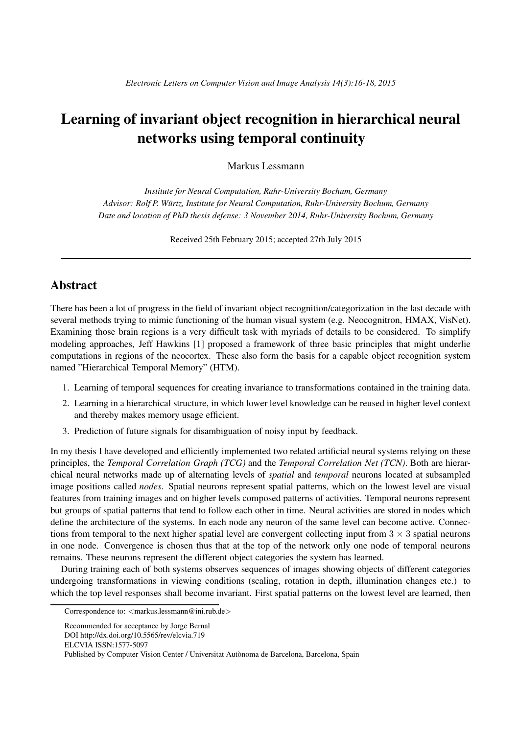## Learning of invariant object recognition in hierarchical neural networks using temporal continuity

Markus Lessmann

*Institute for Neural Computation, Ruhr-University Bochum, Germany Advisor: Rolf P. Wurtz, Institute for Neural Computation, Ruhr-University B ¨ ochum, Germany Date and location of PhD thesis defense: 3 November 2014, Ruhr-University Bochum, Germany*

Received 25th February 2015; accepted 27th July 2015

## Abstract

There has been a lot of progress in the field of invariant object recognition/categorization in the last decade with several methods trying to mimic functioning of the human visual system (e.g. Neocognitron, HMAX, VisNet). Examining those brain regions is a very difficult task with myriads of details to be considered. To simplify modeling approaches, Jeff Hawkins [1] proposed a framework of three basic principles that might underlie computations in regions of the neocortex. These also form the basis for a capable object recognition system named "Hierarchical Temporal Memory" (HTM).

- 1. Learning of temporal sequences for creating invariance to transformations contained in the training data.
- 2. Learning in a hierarchical structure, in which lower level knowledge can be reused in higher level context and thereby makes memory usage efficient.
- 3. Prediction of future signals for disambiguation of noisy input by feedback.

In my thesis I have developed and efficiently implemented two related artificial neural systems relying on these principles, the *Temporal Correlation Graph (TCG)* and the *Temporal Correlation Net (TCN)*. Both are hierarchical neural networks made up of alternating levels of *spatial* and *temporal* neurons located at subsampled image positions called *nodes*. Spatial neurons represent spatial patterns, which on the lowest level are visual features from training images and on higher levels composed patterns of activities. Temporal neurons represent but groups of spatial patterns that tend to follow each other in time. Neural activities are stored in nodes which define the architecture of the systems. In each node any neuron of the same level can become active. Connections from temporal to the next higher spatial level are convergent collecting input from  $3 \times 3$  spatial neurons in one node. Convergence is chosen thus that at the top of the network only one node of temporal neurons remains. These neurons represent the different object categories the system has learned.

During training each of both systems observes sequences of images showing objects of different categories undergoing transformations in viewing conditions (scaling, rotation in depth, illumination changes etc.) to which the top level responses shall become invariant. First spatial patterns on the lowest level are learned, then

Correspondence to: <markus.lessmann@ini.rub.de>

Recommended for acceptance by Jorge Bernal

DOI http://dx.doi.org/10.5565/rev/elcvia.719

ELCVIA ISSN:1577-5097

Published by Computer Vision Center / Universitat Autònoma de Barcelona, Barcelona, Spain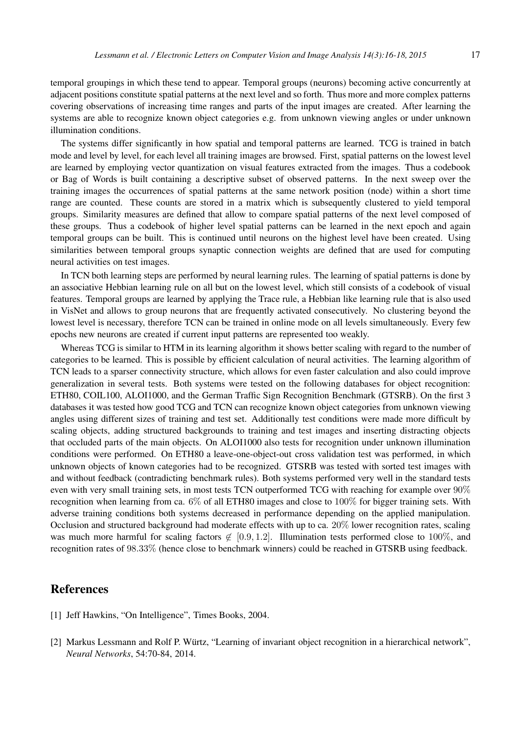temporal groupings in which these tend to appear. Temporal groups (neurons) becoming active concurrently at adjacent positions constitute spatial patterns at the next level and so forth. Thus more and more complex patterns covering observations of increasing time ranges and parts of the input images are created. After learning the systems are able to recognize known object categories e.g. from unknown viewing angles or under unknown illumination conditions.

The systems differ significantly in how spatial and temporal patterns are learned. TCG is trained in batch mode and level by level, for each level all training images are browsed. First, spatial patterns on the lowest level are learned by employing vector quantization on visual features extracted from the images. Thus a codebook or Bag of Words is built containing a descriptive subset of observed patterns. In the next sweep over the training images the occurrences of spatial patterns at the same network position (node) within a short time range are counted. These counts are stored in a matrix which is subsequently clustered to yield temporal groups. Similarity measures are defined that allow to compare spatial patterns of the next level composed of these groups. Thus a codebook of higher level spatial patterns can be learned in the next epoch and again temporal groups can be built. This is continued until neurons on the highest level have been created. Using similarities between temporal groups synaptic connection weights are defined that are used for computing neural activities on test images.

In TCN both learning steps are performed by neural learning rules. The learning of spatial patterns is done by an associative Hebbian learning rule on all but on the lowest level, which still consists of a codebook of visual features. Temporal groups are learned by applying the Trace rule, a Hebbian like learning rule that is also used in VisNet and allows to group neurons that are frequently activated consecutively. No clustering beyond the lowest level is necessary, therefore TCN can be trained in online mode on all levels simultaneously. Every few epochs new neurons are created if current input patterns are represented too weakly.

Whereas TCG is similar to HTM in its learning algorithm it shows better scaling with regard to the number of categories to be learned. This is possible by efficient calculation of neural activities. The learning algorithm of TCN leads to a sparser connectivity structure, which allows for even faster calculation and also could improve generalization in several tests. Both systems were tested on the following databases for object recognition: ETH80, COIL100, ALOI1000, and the German Traffic Sign Recognition Benchmark (GTSRB). On the first 3 databases it was tested how good TCG and TCN can recognize known object categories from unknown viewing angles using different sizes of training and test set. Additionally test conditions were made more difficult by scaling objects, adding structured backgrounds to training and test images and inserting distracting objects that occluded parts of the main objects. On ALOI1000 also tests for recognition under unknown illumination conditions were performed. On ETH80 a leave-one-object-out cross validation test was performed, in which unknown objects of known categories had to be recognized. GTSRB was tested with sorted test images with and without feedback (contradicting benchmark rules). Both systems performed very well in the standard tests even with very small training sets, in most tests TCN outperformed TCG with reaching for example over 90% recognition when learning from ca. 6% of all ETH80 images and close to 100% for bigger training sets. With adverse training conditions both systems decreased in performance depending on the applied manipulation. Occlusion and structured background had moderate effects with up to ca. 20% lower recognition rates, scaling was much more harmful for scaling factors  $\notin [0.9, 1.2]$ . Illumination tests performed close to 100%, and recognition rates of 98.33% (hence close to benchmark winners) could be reached in GTSRB using feedback.

## References

- [1] Jeff Hawkins, "On Intelligence", Times Books, 2004.
- [2] Markus Lessmann and Rolf P. Würtz, "Learning of invariant object recognition in a hierarchical network", *Neural Networks*, 54:70-84, 2014.